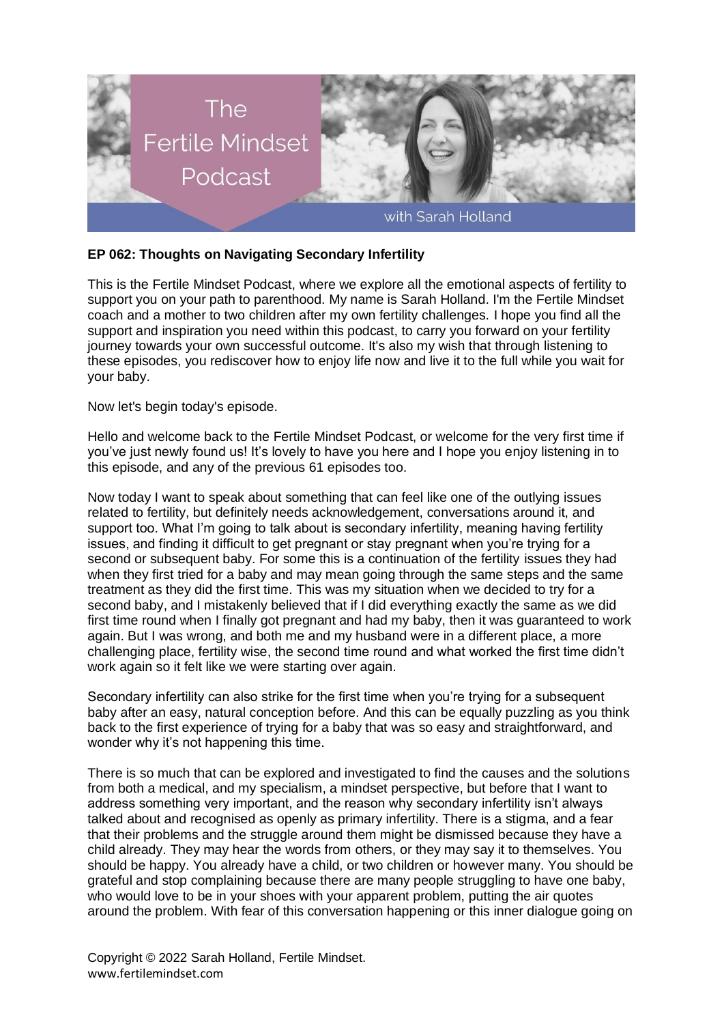

## **EP 062: Thoughts on Navigating Secondary Infertility**

This is the Fertile Mindset Podcast, where we explore all the emotional aspects of fertility to support you on your path to parenthood. My name is Sarah Holland. I'm the Fertile Mindset coach and a mother to two children after my own fertility challenges. I hope you find all the support and inspiration you need within this podcast, to carry you forward on your fertility journey towards your own successful outcome. It's also my wish that through listening to these episodes, you rediscover how to enjoy life now and live it to the full while you wait for your baby.

Now let's begin today's episode.

Hello and welcome back to the Fertile Mindset Podcast, or welcome for the very first time if you've just newly found us! It's lovely to have you here and I hope you enjoy listening in to this episode, and any of the previous 61 episodes too.

Now today I want to speak about something that can feel like one of the outlying issues related to fertility, but definitely needs acknowledgement, conversations around it, and support too. What I'm going to talk about is secondary infertility, meaning having fertility issues, and finding it difficult to get pregnant or stay pregnant when you're trying for a second or subsequent baby. For some this is a continuation of the fertility issues they had when they first tried for a baby and may mean going through the same steps and the same treatment as they did the first time. This was my situation when we decided to try for a second baby, and I mistakenly believed that if I did everything exactly the same as we did first time round when I finally got pregnant and had my baby, then it was guaranteed to work again. But I was wrong, and both me and my husband were in a different place, a more challenging place, fertility wise, the second time round and what worked the first time didn't work again so it felt like we were starting over again.

Secondary infertility can also strike for the first time when you're trying for a subsequent baby after an easy, natural conception before. And this can be equally puzzling as you think back to the first experience of trying for a baby that was so easy and straightforward, and wonder why it's not happening this time.

There is so much that can be explored and investigated to find the causes and the solutions from both a medical, and my specialism, a mindset perspective, but before that I want to address something very important, and the reason why secondary infertility isn't always talked about and recognised as openly as primary infertility. There is a stigma, and a fear that their problems and the struggle around them might be dismissed because they have a child already. They may hear the words from others, or they may say it to themselves. You should be happy. You already have a child, or two children or however many. You should be grateful and stop complaining because there are many people struggling to have one baby, who would love to be in your shoes with your apparent problem, putting the air quotes around the problem. With fear of this conversation happening or this inner dialogue going on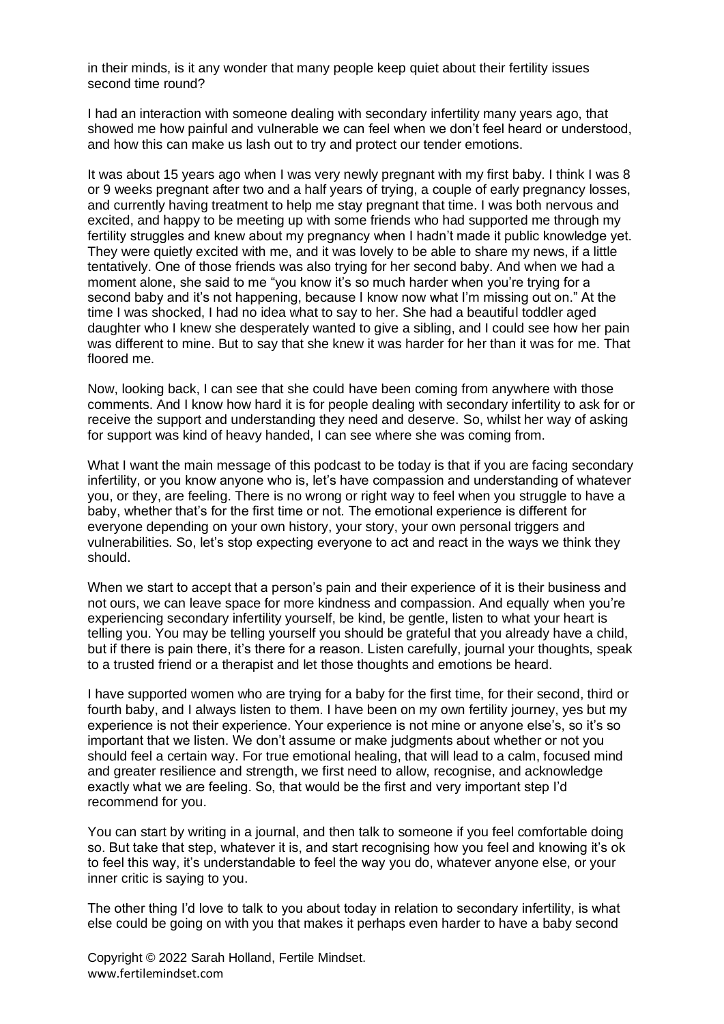in their minds, is it any wonder that many people keep quiet about their fertility issues second time round?

I had an interaction with someone dealing with secondary infertility many years ago, that showed me how painful and vulnerable we can feel when we don't feel heard or understood, and how this can make us lash out to try and protect our tender emotions.

It was about 15 years ago when I was very newly pregnant with my first baby. I think I was 8 or 9 weeks pregnant after two and a half years of trying, a couple of early pregnancy losses, and currently having treatment to help me stay pregnant that time. I was both nervous and excited, and happy to be meeting up with some friends who had supported me through my fertility struggles and knew about my pregnancy when I hadn't made it public knowledge yet. They were quietly excited with me, and it was lovely to be able to share my news, if a little tentatively. One of those friends was also trying for her second baby. And when we had a moment alone, she said to me "you know it's so much harder when you're trying for a second baby and it's not happening, because I know now what I'm missing out on." At the time I was shocked, I had no idea what to say to her. She had a beautiful toddler aged daughter who I knew she desperately wanted to give a sibling, and I could see how her pain was different to mine. But to say that she knew it was harder for her than it was for me. That floored me.

Now, looking back, I can see that she could have been coming from anywhere with those comments. And I know how hard it is for people dealing with secondary infertility to ask for or receive the support and understanding they need and deserve. So, whilst her way of asking for support was kind of heavy handed, I can see where she was coming from.

What I want the main message of this podcast to be today is that if you are facing secondary infertility, or you know anyone who is, let's have compassion and understanding of whatever you, or they, are feeling. There is no wrong or right way to feel when you struggle to have a baby, whether that's for the first time or not. The emotional experience is different for everyone depending on your own history, your story, your own personal triggers and vulnerabilities. So, let's stop expecting everyone to act and react in the ways we think they should.

When we start to accept that a person's pain and their experience of it is their business and not ours, we can leave space for more kindness and compassion. And equally when you're experiencing secondary infertility yourself, be kind, be gentle, listen to what your heart is telling you. You may be telling yourself you should be grateful that you already have a child, but if there is pain there, it's there for a reason. Listen carefully, journal your thoughts, speak to a trusted friend or a therapist and let those thoughts and emotions be heard.

I have supported women who are trying for a baby for the first time, for their second, third or fourth baby, and I always listen to them. I have been on my own fertility journey, yes but my experience is not their experience. Your experience is not mine or anyone else's, so it's so important that we listen. We don't assume or make judgments about whether or not you should feel a certain way. For true emotional healing, that will lead to a calm, focused mind and greater resilience and strength, we first need to allow, recognise, and acknowledge exactly what we are feeling. So, that would be the first and very important step I'd recommend for you.

You can start by writing in a journal, and then talk to someone if you feel comfortable doing so. But take that step, whatever it is, and start recognising how you feel and knowing it's ok to feel this way, it's understandable to feel the way you do, whatever anyone else, or your inner critic is saying to you.

The other thing I'd love to talk to you about today in relation to secondary infertility, is what else could be going on with you that makes it perhaps even harder to have a baby second

Copyright © 2022 Sarah Holland, Fertile Mindset. www.fertilemindset.com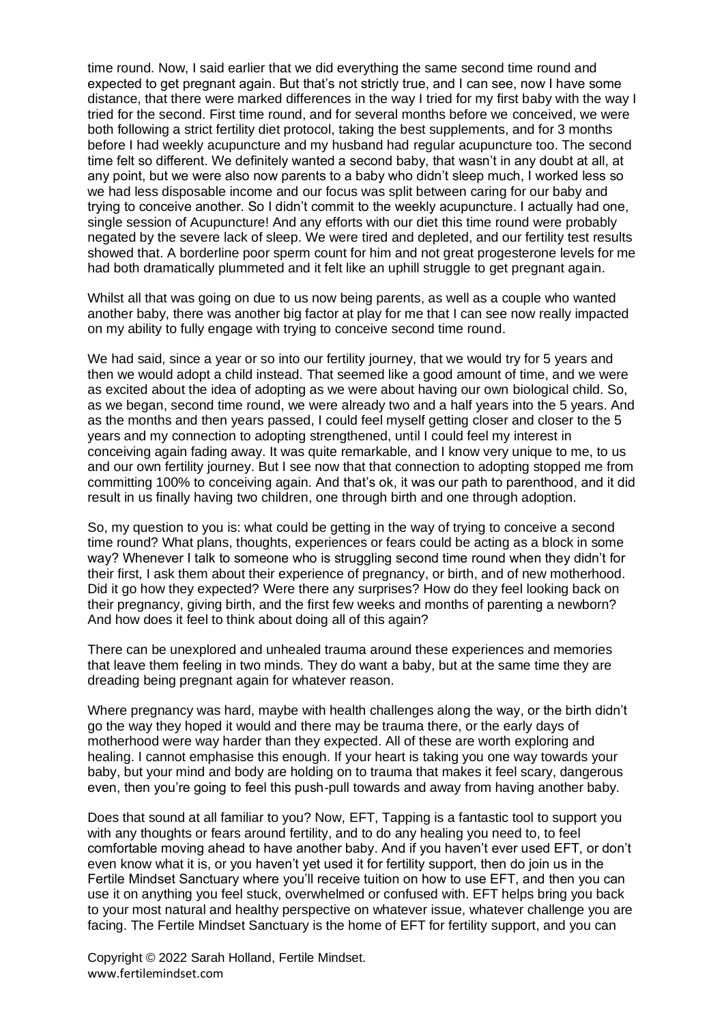time round. Now, I said earlier that we did everything the same second time round and expected to get pregnant again. But that's not strictly true, and I can see, now I have some distance, that there were marked differences in the way I tried for my first baby with the way I tried for the second. First time round, and for several months before we conceived, we were both following a strict fertility diet protocol, taking the best supplements, and for 3 months before I had weekly acupuncture and my husband had regular acupuncture too. The second time felt so different. We definitely wanted a second baby, that wasn't in any doubt at all, at any point, but we were also now parents to a baby who didn't sleep much, I worked less so we had less disposable income and our focus was split between caring for our baby and trying to conceive another. So I didn't commit to the weekly acupuncture. I actually had one, single session of Acupuncture! And any efforts with our diet this time round were probably negated by the severe lack of sleep. We were tired and depleted, and our fertility test results showed that. A borderline poor sperm count for him and not great progesterone levels for me had both dramatically plummeted and it felt like an uphill struggle to get pregnant again.

Whilst all that was going on due to us now being parents, as well as a couple who wanted another baby, there was another big factor at play for me that I can see now really impacted on my ability to fully engage with trying to conceive second time round.

We had said, since a year or so into our fertility journey, that we would try for 5 years and then we would adopt a child instead. That seemed like a good amount of time, and we were as excited about the idea of adopting as we were about having our own biological child. So, as we began, second time round, we were already two and a half years into the 5 years. And as the months and then years passed, I could feel myself getting closer and closer to the 5 years and my connection to adopting strengthened, until I could feel my interest in conceiving again fading away. It was quite remarkable, and I know very unique to me, to us and our own fertility journey. But I see now that that connection to adopting stopped me from committing 100% to conceiving again. And that's ok, it was our path to parenthood, and it did result in us finally having two children, one through birth and one through adoption.

So, my question to you is: what could be getting in the way of trying to conceive a second time round? What plans, thoughts, experiences or fears could be acting as a block in some way? Whenever I talk to someone who is struggling second time round when they didn't for their first, I ask them about their experience of pregnancy, or birth, and of new motherhood. Did it go how they expected? Were there any surprises? How do they feel looking back on their pregnancy, giving birth, and the first few weeks and months of parenting a newborn? And how does it feel to think about doing all of this again?

There can be unexplored and unhealed trauma around these experiences and memories that leave them feeling in two minds. They do want a baby, but at the same time they are dreading being pregnant again for whatever reason.

Where pregnancy was hard, maybe with health challenges along the way, or the birth didn't go the way they hoped it would and there may be trauma there, or the early days of motherhood were way harder than they expected. All of these are worth exploring and healing. I cannot emphasise this enough. If your heart is taking you one way towards your baby, but your mind and body are holding on to trauma that makes it feel scary, dangerous even, then you're going to feel this push-pull towards and away from having another baby.

Does that sound at all familiar to you? Now, EFT, Tapping is a fantastic tool to support you with any thoughts or fears around fertility, and to do any healing you need to, to feel comfortable moving ahead to have another baby. And if you haven't ever used EFT, or don't even know what it is, or you haven't yet used it for fertility support, then do join us in the Fertile Mindset Sanctuary where you'll receive tuition on how to use EFT, and then you can use it on anything you feel stuck, overwhelmed or confused with. EFT helps bring you back to your most natural and healthy perspective on whatever issue, whatever challenge you are facing. The Fertile Mindset Sanctuary is the home of EFT for fertility support, and you can

Copyright © 2022 Sarah Holland, Fertile Mindset. www.fertilemindset.com